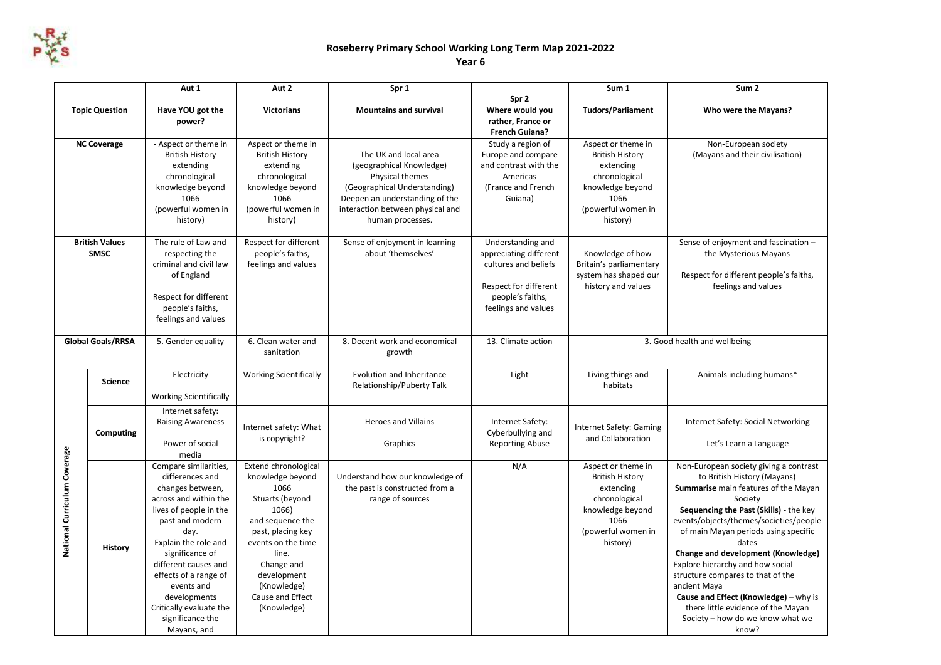

## **Roseberry Primary School Working Long Term Map 2021-2022**

## **Year 6**

|                                      |                | Aut 1                                                                                                                                                                                                                                                                                                                              | Aut 2                                                                                                                                                                                                                                      | Spr 1                                                                                                                                                                                          |                                                                                                                                         | Sum 1                                                                                                                                    | Sum <sub>2</sub>                                                                                                                                                                                                                                                                                                                                                                                                                                                                                                         |
|--------------------------------------|----------------|------------------------------------------------------------------------------------------------------------------------------------------------------------------------------------------------------------------------------------------------------------------------------------------------------------------------------------|--------------------------------------------------------------------------------------------------------------------------------------------------------------------------------------------------------------------------------------------|------------------------------------------------------------------------------------------------------------------------------------------------------------------------------------------------|-----------------------------------------------------------------------------------------------------------------------------------------|------------------------------------------------------------------------------------------------------------------------------------------|--------------------------------------------------------------------------------------------------------------------------------------------------------------------------------------------------------------------------------------------------------------------------------------------------------------------------------------------------------------------------------------------------------------------------------------------------------------------------------------------------------------------------|
|                                      |                |                                                                                                                                                                                                                                                                                                                                    |                                                                                                                                                                                                                                            |                                                                                                                                                                                                | Spr 2                                                                                                                                   |                                                                                                                                          |                                                                                                                                                                                                                                                                                                                                                                                                                                                                                                                          |
| <b>Topic Question</b>                |                | Have YOU got the<br>power?                                                                                                                                                                                                                                                                                                         | <b>Victorians</b>                                                                                                                                                                                                                          | <b>Mountains and survival</b>                                                                                                                                                                  | Where would you<br>rather, France or<br><b>French Guiana?</b>                                                                           | <b>Tudors/Parliament</b>                                                                                                                 | Who were the Mayans?                                                                                                                                                                                                                                                                                                                                                                                                                                                                                                     |
| <b>NC Coverage</b>                   |                | - Aspect or theme in<br><b>British History</b><br>extending<br>chronological<br>knowledge beyond<br>1066<br>(powerful women in<br>history)                                                                                                                                                                                         | Aspect or theme in<br><b>British History</b><br>extending<br>chronological<br>knowledge beyond<br>1066<br>(powerful women in<br>history)                                                                                                   | The UK and local area<br>(geographical Knowledge)<br>Physical themes<br>(Geographical Understanding)<br>Deepen an understanding of the<br>interaction between physical and<br>human processes. | Study a region of<br>Europe and compare<br>and contrast with the<br>Americas<br>(France and French<br>Guiana)                           | Aspect or theme in<br><b>British History</b><br>extending<br>chronological<br>knowledge beyond<br>1066<br>(powerful women in<br>history) | Non-European society<br>(Mayans and their civilisation)                                                                                                                                                                                                                                                                                                                                                                                                                                                                  |
| <b>British Values</b><br><b>SMSC</b> |                | The rule of Law and<br>respecting the<br>criminal and civil law<br>of England<br>Respect for different<br>people's faiths,<br>feelings and values                                                                                                                                                                                  | Respect for different<br>people's faiths,<br>feelings and values                                                                                                                                                                           | Sense of enjoyment in learning<br>about 'themselves'                                                                                                                                           | Understanding and<br>appreciating different<br>cultures and beliefs<br>Respect for different<br>people's faiths,<br>feelings and values | Knowledge of how<br>Britain's parliamentary<br>system has shaped our<br>history and values                                               | Sense of enjoyment and fascination -<br>the Mysterious Mayans<br>Respect for different people's faiths,<br>feelings and values                                                                                                                                                                                                                                                                                                                                                                                           |
| <b>Global Goals/RRSA</b>             |                | 5. Gender equality                                                                                                                                                                                                                                                                                                                 | 6. Clean water and<br>sanitation                                                                                                                                                                                                           | 8. Decent work and economical<br>growth                                                                                                                                                        | 13. Climate action                                                                                                                      | 3. Good health and wellbeing                                                                                                             |                                                                                                                                                                                                                                                                                                                                                                                                                                                                                                                          |
| National Curriculum Coverage         | <b>Science</b> | Electricity<br><b>Working Scientifically</b>                                                                                                                                                                                                                                                                                       | <b>Working Scientifically</b>                                                                                                                                                                                                              | Evolution and Inheritance<br>Relationship/Puberty Talk                                                                                                                                         | Light                                                                                                                                   | Living things and<br>habitats                                                                                                            | Animals including humans*                                                                                                                                                                                                                                                                                                                                                                                                                                                                                                |
|                                      | Computing      | Internet safety:<br><b>Raising Awareness</b><br>Power of social<br>media                                                                                                                                                                                                                                                           | Internet safety: What<br>is copyright?                                                                                                                                                                                                     | <b>Heroes and Villains</b><br>Graphics                                                                                                                                                         | Internet Safety:<br>Cyberbullying and<br><b>Reporting Abuse</b>                                                                         | Internet Safety: Gaming<br>and Collaboration                                                                                             | Internet Safety: Social Networking<br>Let's Learn a Language                                                                                                                                                                                                                                                                                                                                                                                                                                                             |
|                                      | History        | Compare similarities,<br>differences and<br>changes between,<br>across and within the<br>lives of people in the<br>past and modern<br>day.<br>Explain the role and<br>significance of<br>different causes and<br>effects of a range of<br>events and<br>developments<br>Critically evaluate the<br>significance the<br>Mayans, and | <b>Extend chronological</b><br>knowledge beyond<br>1066<br>Stuarts (beyond<br>1066)<br>and sequence the<br>past, placing key<br>events on the time<br>line.<br>Change and<br>development<br>(Knowledge)<br>Cause and Effect<br>(Knowledge) | Understand how our knowledge of<br>the past is constructed from a<br>range of sources                                                                                                          | N/A                                                                                                                                     | Aspect or theme in<br><b>British History</b><br>extending<br>chronological<br>knowledge beyond<br>1066<br>(powerful women in<br>history) | Non-European society giving a contrast<br>to British History (Mayans)<br>Summarise main features of the Mayan<br>Society<br>Sequencing the Past (Skills) - the key<br>events/objects/themes/societies/people<br>of main Mayan periods using specific<br>dates<br>Change and development (Knowledge)<br>Explore hierarchy and how social<br>structure compares to that of the<br>ancient Maya<br>Cause and Effect (Knowledge) - why is<br>there little evidence of the Mayan<br>Society - how do we know what we<br>know? |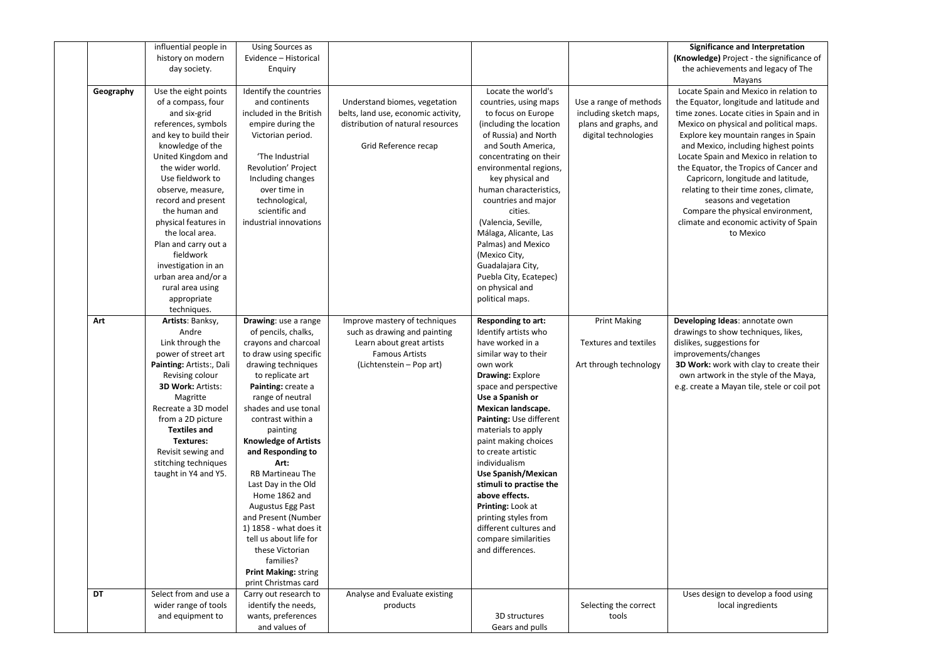|           | influential people in<br>history on modern   | Using Sources as<br>Evidence - Historical           |                                     |                                      |                        | Significance and Interpretation<br>(Knowledge) Project - the significance of |
|-----------|----------------------------------------------|-----------------------------------------------------|-------------------------------------|--------------------------------------|------------------------|------------------------------------------------------------------------------|
|           | day society.                                 | Enquiry                                             |                                     |                                      |                        | the achievements and legacy of The<br>Mayans                                 |
| Geography | Use the eight points                         | Identify the countries                              |                                     | Locate the world's                   |                        | Locate Spain and Mexico in relation to                                       |
|           | of a compass, four                           | and continents                                      | Understand biomes, vegetation       | countries, using maps                | Use a range of methods | the Equator, longitude and latitude and                                      |
|           | and six-grid                                 | included in the British                             | belts, land use, economic activity, | to focus on Europe                   | including sketch maps, | time zones. Locate cities in Spain and in                                    |
|           | references, symbols                          | empire during the                                   | distribution of natural resources   | (including the location              | plans and graphs, and  | Mexico on physical and political maps.                                       |
|           | and key to build their                       | Victorian period.                                   |                                     | of Russia) and North                 | digital technologies   | Explore key mountain ranges in Spain                                         |
|           | knowledge of the                             |                                                     | Grid Reference recap                | and South America,                   |                        | and Mexico, including highest points                                         |
|           | United Kingdom and                           | 'The Industrial                                     |                                     | concentrating on their               |                        | Locate Spain and Mexico in relation to                                       |
|           | the wider world.                             | <b>Revolution' Project</b>                          |                                     | environmental regions,               |                        | the Equator, the Tropics of Cancer and                                       |
|           | Use fieldwork to                             | Including changes                                   |                                     | key physical and                     |                        | Capricorn, longitude and latitude,                                           |
|           | observe, measure,                            | over time in                                        |                                     | human characteristics,               |                        | relating to their time zones, climate,                                       |
|           | record and present                           | technological,                                      |                                     | countries and major                  |                        | seasons and vegetation                                                       |
|           | the human and                                | scientific and                                      |                                     | cities.                              |                        | Compare the physical environment,                                            |
|           | physical features in                         | industrial innovations                              |                                     | (Valencia, Seville,                  |                        | climate and economic activity of Spain                                       |
|           | the local area.                              |                                                     |                                     | Málaga, Alicante, Las                |                        | to Mexico                                                                    |
|           | Plan and carry out a                         |                                                     |                                     | Palmas) and Mexico                   |                        |                                                                              |
|           | fieldwork                                    |                                                     |                                     | (Mexico City,                        |                        |                                                                              |
|           | investigation in an                          |                                                     |                                     | Guadalajara City,                    |                        |                                                                              |
|           | urban area and/or a                          |                                                     |                                     | Puebla City, Ecatepec)               |                        |                                                                              |
|           | rural area using                             |                                                     |                                     | on physical and                      |                        |                                                                              |
|           | appropriate                                  |                                                     |                                     | political maps.                      |                        |                                                                              |
|           | techniques.                                  |                                                     |                                     |                                      |                        |                                                                              |
| Art       | Artists: Banksy,                             | Drawing: use a range                                | Improve mastery of techniques       | <b>Responding to art:</b>            | <b>Print Making</b>    | Developing Ideas: annotate own                                               |
|           | Andre                                        | of pencils, chalks,                                 | such as drawing and painting        | Identify artists who                 |                        | drawings to show techniques, likes,                                          |
|           | Link through the                             | crayons and charcoal                                | Learn about great artists           | have worked in a                     | Textures and textiles  | dislikes, suggestions for                                                    |
|           | power of street art                          | to draw using specific                              | <b>Famous Artists</b>               | similar way to their                 |                        | improvements/changes                                                         |
|           | Painting: Artists:, Dali                     | drawing techniques                                  | (Lichtenstein – Pop art)            | own work                             | Art through technology | 3D Work: work with clay to create their                                      |
|           | Revising colour                              | to replicate art                                    |                                     | <b>Drawing: Explore</b>              |                        | own artwork in the style of the Maya,                                        |
|           | <b>3D Work: Artists:</b>                     | Painting: create a                                  |                                     | space and perspective                |                        | e.g. create a Mayan tile, stele or coil pot                                  |
|           | Magritte                                     | range of neutral                                    |                                     | Use a Spanish or                     |                        |                                                                              |
|           | Recreate a 3D model                          | shades and use tonal                                |                                     | Mexican landscape.                   |                        |                                                                              |
|           | from a 2D picture                            | contrast within a                                   |                                     | Painting: Use different              |                        |                                                                              |
|           | <b>Textiles and</b>                          | painting                                            |                                     | materials to apply                   |                        |                                                                              |
|           | Textures:                                    | <b>Knowledge of Artists</b>                         |                                     | paint making choices                 |                        |                                                                              |
|           | Revisit sewing and                           | and Responding to                                   |                                     | to create artistic                   |                        |                                                                              |
|           | stitching techniques<br>taught in Y4 and Y5. | Art:<br>RB Martineau The                            |                                     | individualism<br>Use Spanish/Mexican |                        |                                                                              |
|           |                                              | Last Day in the Old                                 |                                     | stimuli to practise the              |                        |                                                                              |
|           |                                              | Home 1862 and                                       |                                     | above effects.                       |                        |                                                                              |
|           |                                              | Augustus Egg Past                                   |                                     | Printing: Look at                    |                        |                                                                              |
|           |                                              |                                                     |                                     |                                      |                        |                                                                              |
|           |                                              |                                                     |                                     |                                      |                        |                                                                              |
|           |                                              | and Present (Number                                 |                                     | printing styles from                 |                        |                                                                              |
|           |                                              | 1) 1858 - what does it                              |                                     | different cultures and               |                        |                                                                              |
|           |                                              | tell us about life for                              |                                     | compare similarities                 |                        |                                                                              |
|           |                                              | these Victorian                                     |                                     | and differences.                     |                        |                                                                              |
|           |                                              | families?                                           |                                     |                                      |                        |                                                                              |
|           |                                              | <b>Print Making: string</b><br>print Christmas card |                                     |                                      |                        |                                                                              |
| <b>DT</b> | Select from and use a                        | Carry out research to                               | Analyse and Evaluate existing       |                                      |                        | Uses design to develop a food using                                          |
|           | wider range of tools                         | identify the needs,                                 | products                            |                                      | Selecting the correct  | local ingredients                                                            |
|           | and equipment to                             | wants, preferences                                  |                                     | 3D structures                        | tools                  |                                                                              |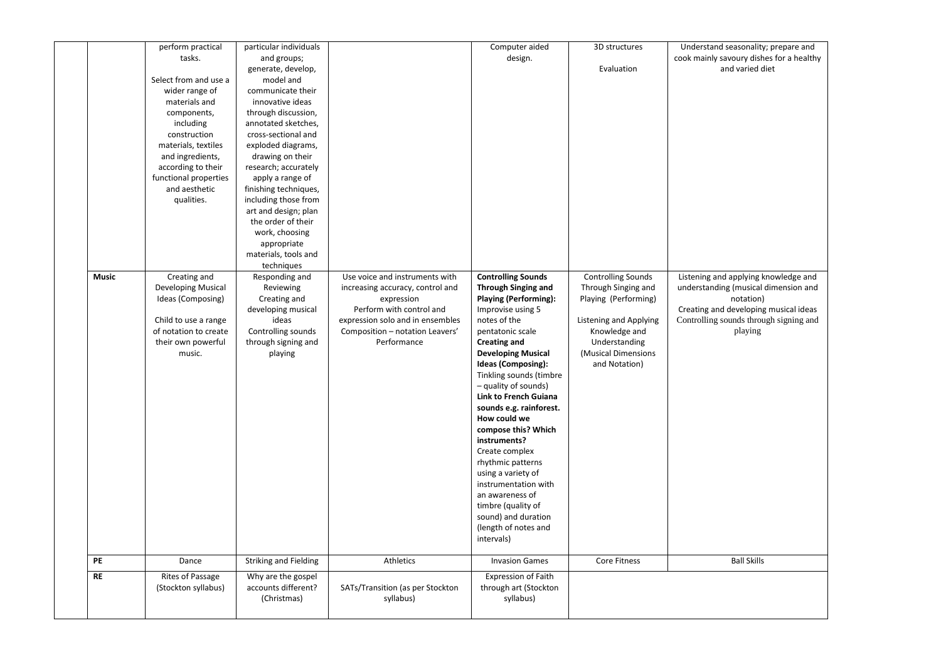|              | perform practical<br>tasks.<br>Select from and use a<br>wider range of<br>materials and<br>components,<br>including<br>construction<br>materials, textiles<br>and ingredients,<br>according to their<br>functional properties<br>and aesthetic<br>qualities. | particular individuals<br>and groups;<br>generate, develop,<br>model and<br>communicate their<br>innovative ideas<br>through discussion,<br>annotated sketches,<br>cross-sectional and<br>exploded diagrams,<br>drawing on their<br>research; accurately<br>apply a range of<br>finishing techniques,<br>including those from<br>art and design; plan<br>the order of their |                                                                                                                                                                  | Computer aided<br>design.                                                                                                                                                                                                                                                                                                                                                                                                                                                                                                                              | 3D structures<br>Evaluation                                                                                                                     | Understand seasonality; prepare and<br>cook mainly savoury dishes for a healthy<br>and varied diet                                              |
|--------------|--------------------------------------------------------------------------------------------------------------------------------------------------------------------------------------------------------------------------------------------------------------|-----------------------------------------------------------------------------------------------------------------------------------------------------------------------------------------------------------------------------------------------------------------------------------------------------------------------------------------------------------------------------|------------------------------------------------------------------------------------------------------------------------------------------------------------------|--------------------------------------------------------------------------------------------------------------------------------------------------------------------------------------------------------------------------------------------------------------------------------------------------------------------------------------------------------------------------------------------------------------------------------------------------------------------------------------------------------------------------------------------------------|-------------------------------------------------------------------------------------------------------------------------------------------------|-------------------------------------------------------------------------------------------------------------------------------------------------|
| <b>Music</b> | Creating and                                                                                                                                                                                                                                                 | work, choosing<br>appropriate<br>materials, tools and<br>techniques<br>Responding and                                                                                                                                                                                                                                                                                       | Use voice and instruments with                                                                                                                                   | <b>Controlling Sounds</b>                                                                                                                                                                                                                                                                                                                                                                                                                                                                                                                              | <b>Controlling Sounds</b>                                                                                                                       | Listening and applying knowledge and                                                                                                            |
|              | Developing Musical<br>Ideas (Composing)<br>Child to use a range<br>of notation to create<br>their own powerful<br>music.                                                                                                                                     | Reviewing<br>Creating and<br>developing musical<br>ideas<br>Controlling sounds<br>through signing and<br>playing                                                                                                                                                                                                                                                            | increasing accuracy, control and<br>expression<br>Perform with control and<br>expression solo and in ensembles<br>Composition - notation Leavers'<br>Performance | <b>Through Singing and</b><br><b>Playing (Performing):</b><br>Improvise using 5<br>notes of the<br>pentatonic scale<br><b>Creating and</b><br><b>Developing Musical</b><br>Ideas (Composing):<br>Tinkling sounds (timbre<br>- quality of sounds)<br>Link to French Guiana<br>sounds e.g. rainforest.<br>How could we<br>compose this? Which<br>instruments?<br>Create complex<br>rhythmic patterns<br>using a variety of<br>instrumentation with<br>an awareness of<br>timbre (quality of<br>sound) and duration<br>(length of notes and<br>intervals) | Through Singing and<br>Playing (Performing)<br>Listening and Applying<br>Knowledge and<br>Understanding<br>(Musical Dimensions<br>and Notation) | understanding (musical dimension and<br>notation)<br>Creating and developing musical ideas<br>Controlling sounds through signing and<br>playing |
| PE           | Dance                                                                                                                                                                                                                                                        | <b>Striking and Fielding</b>                                                                                                                                                                                                                                                                                                                                                | Athletics                                                                                                                                                        | <b>Invasion Games</b>                                                                                                                                                                                                                                                                                                                                                                                                                                                                                                                                  | Core Fitness                                                                                                                                    | <b>Ball Skills</b>                                                                                                                              |
| <b>RE</b>    | Rites of Passage<br>(Stockton syllabus)                                                                                                                                                                                                                      | Why are the gospel<br>accounts different?<br>(Christmas)                                                                                                                                                                                                                                                                                                                    | SATs/Transition (as per Stockton<br>syllabus)                                                                                                                    | <b>Expression of Faith</b><br>through art (Stockton<br>syllabus)                                                                                                                                                                                                                                                                                                                                                                                                                                                                                       |                                                                                                                                                 |                                                                                                                                                 |